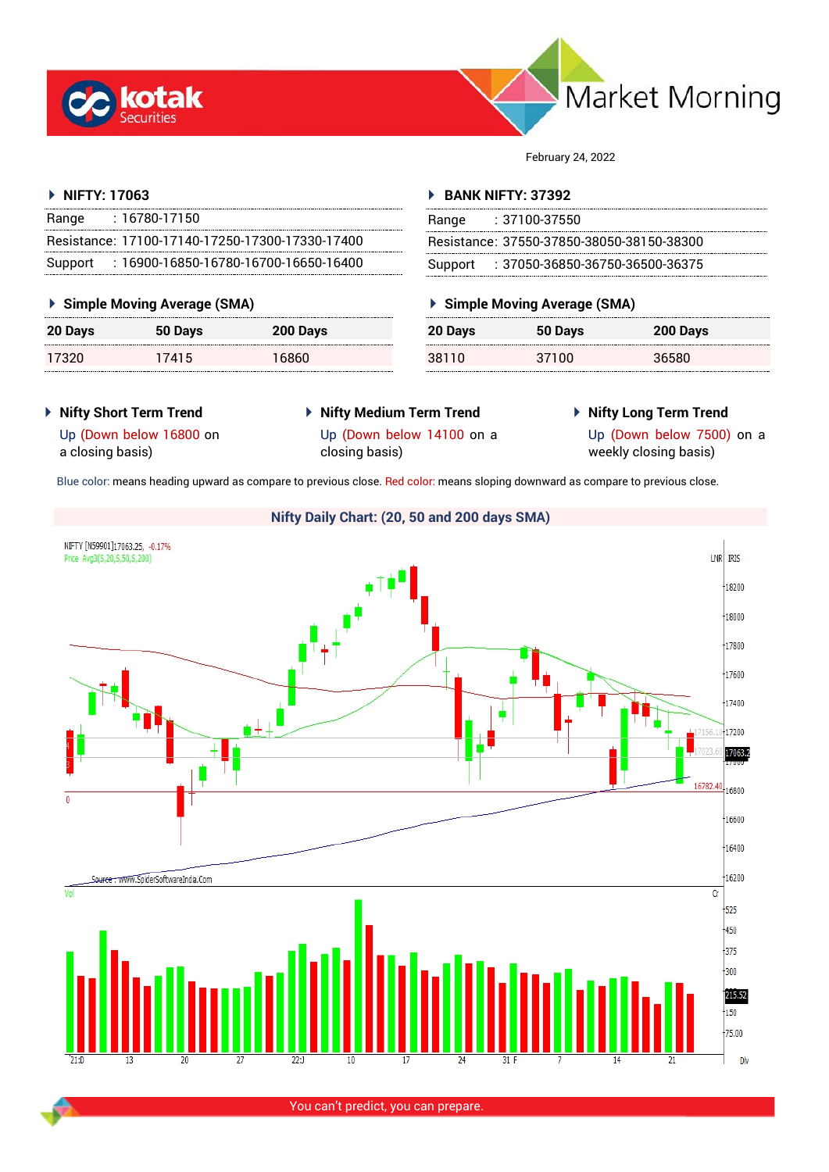



February 24, 2022

## **NIFTY: 17063**

| Range   | $: 16780 - 17150$                               |  |
|---------|-------------------------------------------------|--|
|         | Resistance: 17100-17140-17250-17300-17330-17400 |  |
| Support | $: 16900$ -16850-16780-16700-16650-16400        |  |

## **Simple Moving Average (SMA)**

| 20 Days | 50 Days | 200 Days |
|---------|---------|----------|
| 17320   | 17415   | 16860    |

## **BANK NIFTY: 37392**

| Range | $: 37100 - 37550$                         |
|-------|-------------------------------------------|
|       | Resistance: 37550-37850-38050-38150-38300 |
|       | Support: : 37050-36850-36750-36500-36375  |

## **Simple Moving Average (SMA)**

| 20 Days | 50 Days | 200 Days |
|---------|---------|----------|
| 38110   | 37100   | 36580    |

**Nifty Short Term Trend**

a closing basis)

Up (Down below 16800 on

- **Nifty Medium Term Trend** Up (Down below 14100 on a closing basis)
- **Nifty Long Term Trend**

Up (Down below 7500) on a weekly closing basis)

Blue color: means heading upward as compare to previous close. Red color: means sloping downward as compare to previous close.



You can't predict, you can prepare.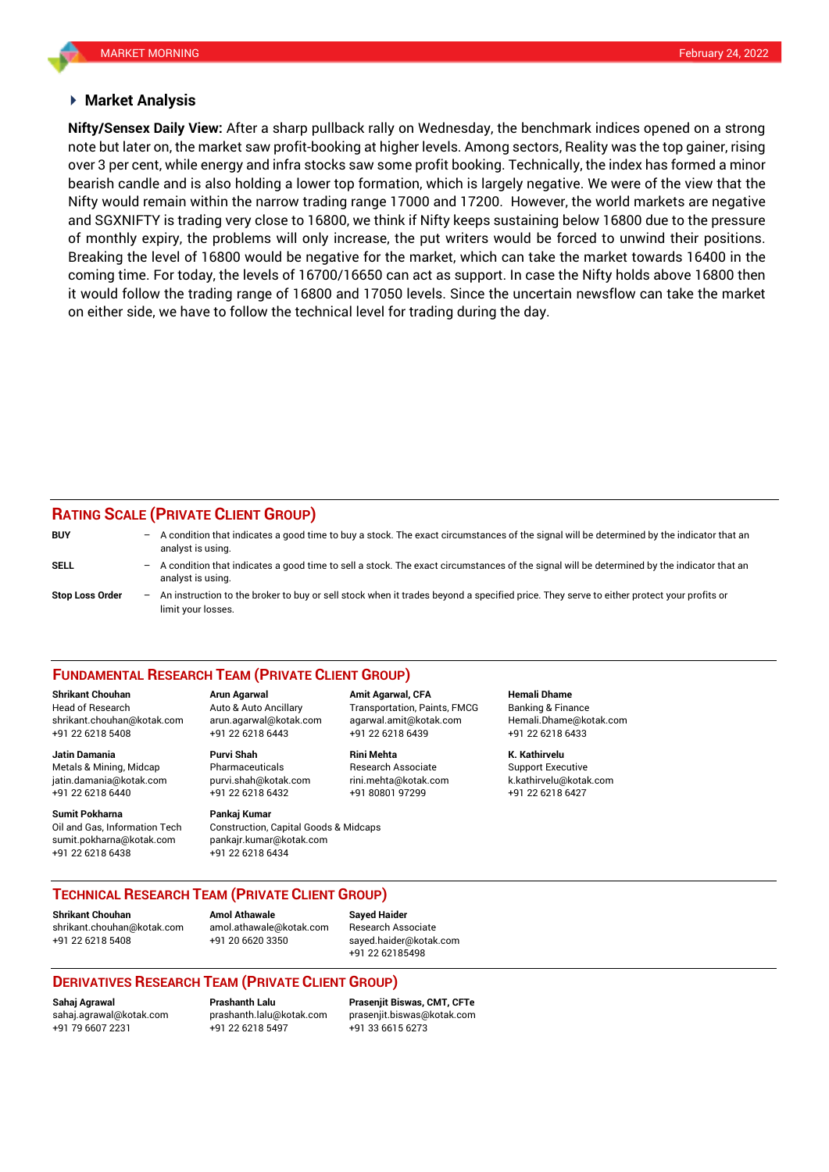## **Market Analysis**

note but later on, the market saw profit-booking at higher levels. Among sectors, Reality was the top gainer, rising bearish candle and is also holding a lower top formation, which is largely negative. We were of the view that the **Nifty/Sensex Daily View:** After a sharp pullback rally on Wednesday, the benchmark indices opened on a strong over 3 per cent, while energy and infra stocks saw some profit booking. Technically, the index has formed a minor Nifty would remain within the narrow trading range 17000 and 17200. However, the world markets are negative and SGXNIFTY is trading very close to 16800, we think if Nifty keeps sustaining below 16800 due to the pressure of monthly expiry, the problems will only increase, the put writers would be forced to unwind their positions. Breaking the level of 16800 would be negative for the market, which can take the market towards 16400 in the coming time. For today, the levels of 16700/16650 can act as support. In case the Nifty holds above 16800 then it would follow the trading range of 16800 and 17050 levels. Since the uncertain newsflow can take the market on either side, we have to follow the technical level for trading during the day.

# **RATING SCALE (PRIVATE CLIENT GROUP)**

| <b>BUY</b>             | -                 | A condition that indicates a good time to buy a stock. The exact circumstances of the signal will be determined by the indicator that an<br>analyst is using.  |
|------------------------|-------------------|----------------------------------------------------------------------------------------------------------------------------------------------------------------|
| SELL                   | -                 | A condition that indicates a good time to sell a stock. The exact circumstances of the signal will be determined by the indicator that an<br>analyst is using. |
| <b>Stop Loss Order</b> | $\qquad \qquad -$ | An instruction to the broker to buy or sell stock when it trades beyond a specified price. They serve to either protect your profits or<br>limit your losses.  |

### **FUNDAMENTAL RESEARCH TEAM (PRIVATE CLIENT GROUP)**

Head of Research Auto & Auto Ancillary Transportation, Paints, FMCG Banking & Finance [shrikant.chouhan@kotak.com](mailto:shrikant.chouhan@kotak.com) arun.agarwal@kotak.com agarwal.amit@kotak.com Hemali.Dhame@kotak.com

**Jatin Damania Purvi Shah Rini Mehta K. Kathirvelu** Metals & Mining, Midcap Pharmaceuticals Research Associate Support Executive jatin.damania@kotak.com [purvi.shah@kotak.com](mailto:purvi.shah@kotak.com) rini.mehta@kotak.com [k.kathirvelu@kotak.com](mailto:k.kathirvelu@kotak.com) +91 22 6218 6440 +91 22 6218 6432 +91 80801 97299 +91 22 6218 6427

**Sumit Pokharna** Pankaj Kumar Oil and Gas, Information Tech Construction, Capital Goods & Midcaps sumit.pokharna@kotak.com pankajr.kumar@kotak.com

+91 22 6218 5408 +91 22 6218 6443 +91 22 6218 6439 +91 22 6218 6433

+91 22 6218 6438 +91 22 6218 6434

**Shrikant Chouhan Arun Agarwal Amit Agarwal, CFA Hemali Dhame**

## **TECHNICAL RESEARCH TEAM (PRIVATE CLIENT GROUP)**

**Shrikant Chouhan Amol Athawale Sayed Haider**

[shrikant.chouhan@kotak.com](mailto:shrikant.chouhan@kotak.com) [amol.athawale@kotak.com](mailto:amol.athawale@kotak.com) Research Associate +91 22 6218 5408 +91 20 6620 3350 [sayed.haider@kotak.com](mailto:sayed.haider@kotak.com)

+91 22 62185498

## **DERIVATIVES RESEARCH TEAM (PRIVATE CLIENT GROUP)**

+91 79 6607 2231 +91 22 6218 5497 +91 33 6615 6273

**Sahaj Agrawal Prashanth Lalu Prasenjit Biswas, CMT, CFTe** [sahaj.agrawal@kotak.com](mailto:sahaj.agrawal@kotak.com) [prashanth.lalu@kotak.com](mailto:prashanth.lalu@kotak.com) [prasenjit.biswas@kotak.com](mailto:prasenjit.biswas@kotak.com)